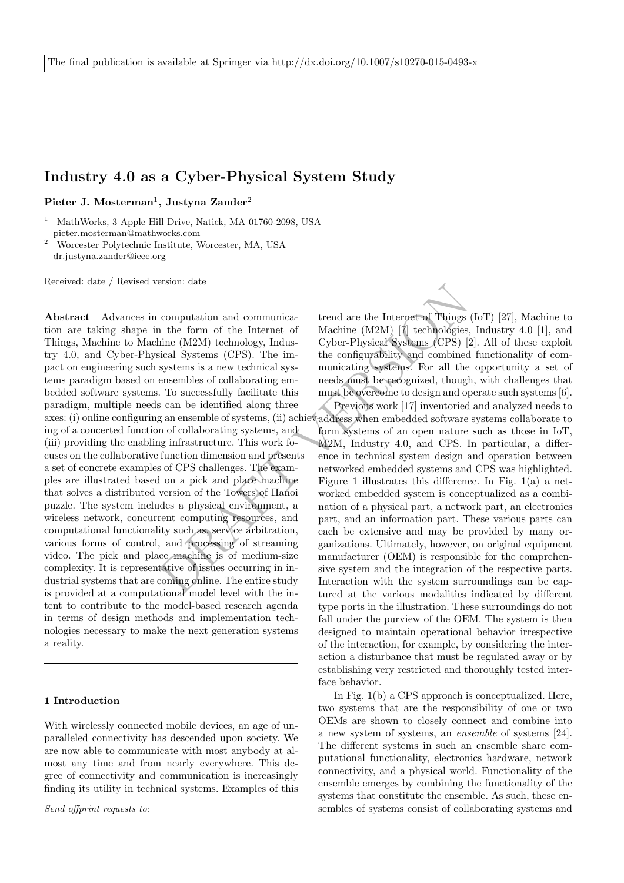Pieter J. Mosterman $^1,$  Justyna Zander $^2$ 

<sup>1</sup> MathWorks, 3 Apple Hill Drive, Natick, MA 01760-2098, USA pieter.mosterman@mathworks.com

<sup>2</sup> Worcester Polytechnic Institute, Worcester, MA, USA dr.justyna.zander@ieee.org

Received: date / Revised version: date

computation and communica-<br>
trend are the Internet of Things<br>
1 the form of the Internet of Machine (M2M) [7] technologies<br>
ine (M2M) technology, Indus-<br>
Cyber-Physical Systems (CPS) [:<br>
ical Systems is a new technical sy Abstract Advances in computation and communication are taking shape in the form of the Internet of Things, Machine to Machine (M2M) technology, Industry 4.0, and Cyber-Physical Systems (CPS). The impact on engineering such systems is a new technical systems paradigm based on ensembles of collaborating embedded software systems. To successfully facilitate this paradigm, multiple needs can be identified along three axes: (i) online configuring an ensemble of systems, (ii) achiev-address when embedded software systems collaborate to ing of a concerted function of collaborating systems, and (iii) providing the enabling infrastructure. This work focuses on the collaborative function dimension and presents a set of concrete examples of CPS challenges. The examples are illustrated based on a pick and place machine that solves a distributed version of the Towers of Hanoi puzzle. The system includes a physical environment, a wireless network, concurrent computing resources, and computational functionality such as, service arbitration, various forms of control, and processing of streaming video. The pick and place machine is of medium-size complexity. It is representative of issues occurring in industrial systems that are coming online. The entire study is provided at a computational model level with the intent to contribute to the model-based research agenda in terms of design methods and implementation technologies necessary to make the next generation systems a reality.

## 1 Introduction

With wirelessly connected mobile devices, an age of unparalleled connectivity has descended upon society. We are now able to communicate with most anybody at almost any time and from nearly everywhere. This degree of connectivity and communication is increasingly finding its utility in technical systems. Examples of this trend are the Internet of Things (IoT) [27], Machine to Machine (M2M) [7] technologies, Industry 4.0 [1], and Cyber-Physical Systems (CPS) [2]. All of these exploit the configurability and combined functionality of communicating systems. For all the opportunity a set of needs must be recognized, though, with challenges that must be overcome to design and operate such systems [6].

Previous work [17] inventoried and analyzed needs to form systems of an open nature such as those in IoT, M2M, Industry 4.0, and CPS. In particular, a difference in technical system design and operation between networked embedded systems and CPS was highlighted. Figure 1 illustrates this difference. In Fig.  $1(a)$  a networked embedded system is conceptualized as a combination of a physical part, a network part, an electronics part, and an information part. These various parts can each be extensive and may be provided by many organizations. Ultimately, however, on original equipment manufacturer (OEM) is responsible for the comprehensive system and the integration of the respective parts. Interaction with the system surroundings can be captured at the various modalities indicated by different type ports in the illustration. These surroundings do not fall under the purview of the OEM. The system is then designed to maintain operational behavior irrespective of the interaction, for example, by considering the interaction a disturbance that must be regulated away or by establishing very restricted and thoroughly tested interface behavior.

In Fig. 1(b) a CPS approach is conceptualized. Here, two systems that are the responsibility of one or two OEMs are shown to closely connect and combine into a new system of systems, an ensemble of systems [24]. The different systems in such an ensemble share computational functionality, electronics hardware, network connectivity, and a physical world. Functionality of the ensemble emerges by combining the functionality of the systems that constitute the ensemble. As such, these ensembles of systems consist of collaborating systems and

Send offprint requests to :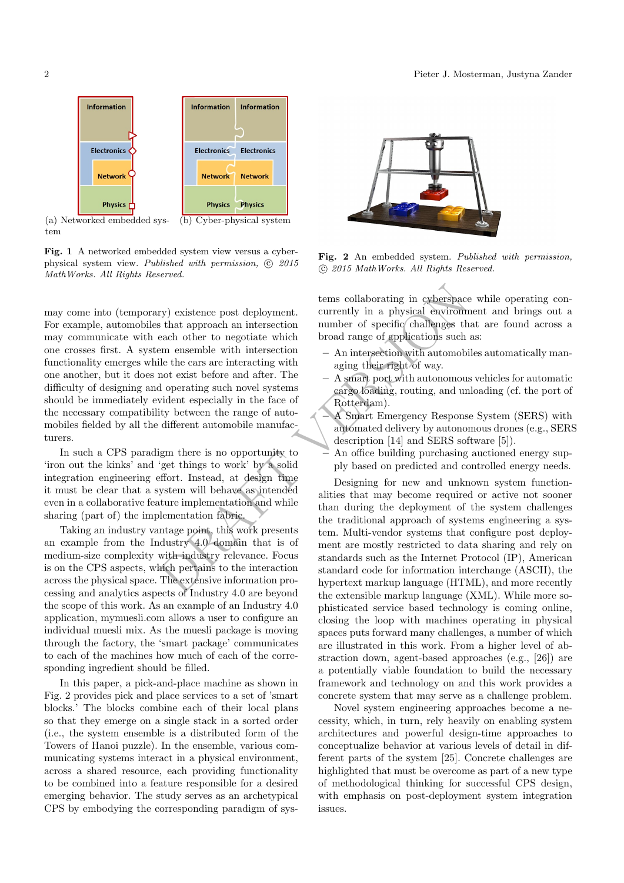

Fig. 1 A networked embedded system view versus a cyberphysical system view. Published with permission,  $\odot$  2015 MathWorks. All Rights Reserved.

ry) existence post deployment.<br>
tems collaborating in cyberspace currently in a physical environm<br>
each other to negotiate which broad range of applications such the seach other to negotiate which broad range of applicati may come into (temporary) existence post deployment. For example, automobiles that approach an intersection may communicate with each other to negotiate which one crosses first. A system ensemble with intersection functionality emerges while the cars are interacting with one another, but it does not exist before and after. The difficulty of designing and operating such novel systems should be immediately evident especially in the face of the necessary compatibility between the range of automobiles fielded by all the different automobile manufacturers.

In such a CPS paradigm there is no opportunity to 'iron out the kinks' and 'get things to work' by a solid integration engineering effort. Instead, at design time it must be clear that a system will behave as intended even in a collaborative feature implementation and while sharing (part of) the implementation fabric.

Taking an industry vantage point, this work presents an example from the Industry 4.0 domain that is of medium-size complexity with industry relevance. Focus is on the CPS aspects, which pertains to the interaction across the physical space. The extensive information processing and analytics aspects of Industry 4.0 are beyond the scope of this work. As an example of an Industry 4.0 application, mymuesli.com allows a user to configure an individual muesli mix. As the muesli package is moving through the factory, the 'smart package' communicates to each of the machines how much of each of the corresponding ingredient should be filled.

In this paper, a pick-and-place machine as shown in Fig. 2 provides pick and place services to a set of 'smart blocks.' The blocks combine each of their local plans so that they emerge on a single stack in a sorted order (i.e., the system ensemble is a distributed form of the Towers of Hanoi puzzle). In the ensemble, various communicating systems interact in a physical environment, across a shared resource, each providing functionality to be combined into a feature responsible for a desired emerging behavior. The study serves as an archetypical CPS by embodying the corresponding paradigm of sys-



Fig. 2 An embedded system. Published with permission, c 2015 MathWorks. All Rights Reserved.

tems collaborating in cyberspace while operating concurrently in a physical environment and brings out a number of specific challenges that are found across a broad range of applications such as:

- An intersection with automobiles automatically managing their right of way.
- A smart port with autonomous vehicles for automatic cargo loading, routing, and unloading (cf. the port of Rotterdam).
- A Smart Emergency Response System (SERS) with automated delivery by autonomous drones (e.g., SERS description [14] and SERS software [5]).
- An office building purchasing auctioned energy supply based on predicted and controlled energy needs.

Designing for new and unknown system functionalities that may become required or active not sooner than during the deployment of the system challenges the traditional approach of systems engineering a system. Multi-vendor systems that configure post deployment are mostly restricted to data sharing and rely on standards such as the Internet Protocol (IP), American standard code for information interchange (ASCII), the hypertext markup language (HTML), and more recently the extensible markup language (XML). While more sophisticated service based technology is coming online, closing the loop with machines operating in physical spaces puts forward many challenges, a number of which are illustrated in this work. From a higher level of abstraction down, agent-based approaches (e.g., [26]) are a potentially viable foundation to build the necessary framework and technology on and this work provides a concrete system that may serve as a challenge problem.

Novel system engineering approaches become a necessity, which, in turn, rely heavily on enabling system architectures and powerful design-time approaches to conceptualize behavior at various levels of detail in different parts of the system [25]. Concrete challenges are highlighted that must be overcome as part of a new type of methodological thinking for successful CPS design, with emphasis on post-deployment system integration issues.

tem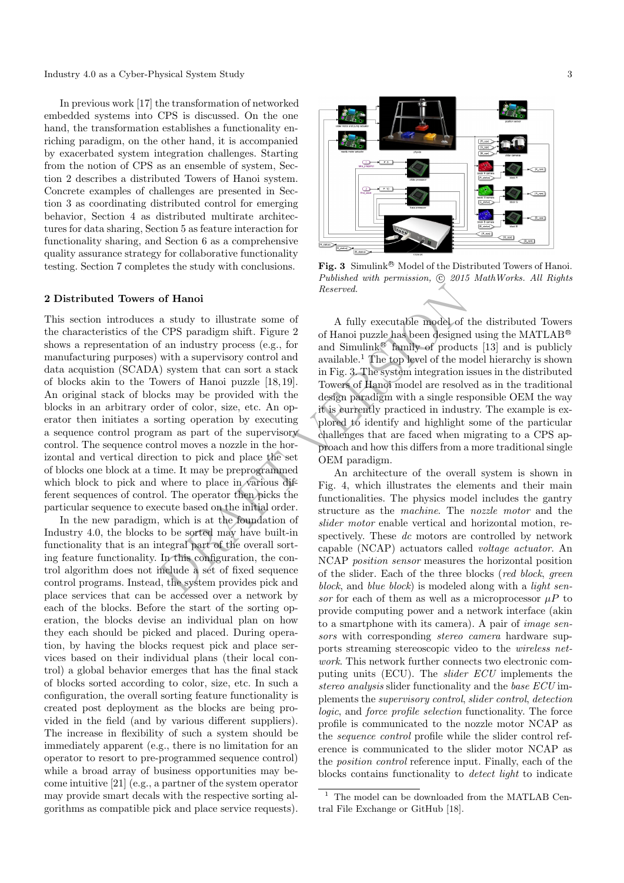In previous work [17] the transformation of networked embedded systems into CPS is discussed. On the one hand, the transformation establishes a functionality enriching paradigm, on the other hand, it is accompanied by exacerbated system integration challenges. Starting from the notion of CPS as an ensemble of system, Section 2 describes a distributed Towers of Hanoi system. Concrete examples of challenges are presented in Section 3 as coordinating distributed control for emerging behavior, Section 4 as distributed multirate architectures for data sharing, Section 5 as feature interaction for functionality sharing, and Section 6 as a comprehensive quality assurance strategy for collaborative functionality testing. Section 7 completes the study with conclusions.

## 2 Distributed Towers of Hanoi

DRAFT VERSION This section introduces a study to illustrate some of the characteristics of the CPS paradigm shift. Figure 2 shows a representation of an industry process (e.g., for manufacturing purposes) with a supervisory control and data acquistion (SCADA) system that can sort a stack of blocks akin to the Towers of Hanoi puzzle [18, 19]. An original stack of blocks may be provided with the blocks in an arbitrary order of color, size, etc. An operator then initiates a sorting operation by executing a sequence control program as part of the supervisory control. The sequence control moves a nozzle in the horizontal and vertical direction to pick and place the set of blocks one block at a time. It may be preprogrammed which block to pick and where to place in various different sequences of control. The operator then picks the particular sequence to execute based on the initial order.

In the new paradigm, which is at the foundation of Industry 4.0, the blocks to be sorted may have built-in functionality that is an integral part of the overall sorting feature functionality. In this configuration, the control algorithm does not include a set of fixed sequence control programs. Instead, the system provides pick and place services that can be accessed over a network by each of the blocks. Before the start of the sorting operation, the blocks devise an individual plan on how they each should be picked and placed. During operation, by having the blocks request pick and place services based on their individual plans (their local control) a global behavior emerges that has the final stack of blocks sorted according to color, size, etc. In such a configuration, the overall sorting feature functionality is created post deployment as the blocks are being provided in the field (and by various different suppliers). The increase in flexibility of such a system should be immediately apparent (e.g., there is no limitation for an operator to resort to pre-programmed sequence control) while a broad array of business opportunities may become intuitive [21] (e.g., a partner of the system operator may provide smart decals with the respective sorting algorithms as compatible pick and place service requests).



Fig. 3 Simulink<sup>®</sup> Model of the Distributed Towers of Hanoi. Published with permission,  $\odot$  2015 MathWorks. All Rights Reserved.

A fully executable model of the distributed Towers of Hanoi puzzle has been designed using the MATLAB R and Simulink<sup>®</sup> family of products  $[13]$  and is publicly available. <sup>1</sup> The top level of the model hierarchy is shown in Fig. 3. The system integration issues in the distributed Towers of Hanoi model are resolved as in the traditional design paradigm with a single responsible OEM the way it is currently practiced in industry. The example is explored to identify and highlight some of the particular challenges that are faced when migrating to a CPS approach and how this differs from a more traditional single OEM paradigm.

An architecture of the overall system is shown in Fig. 4, which illustrates the elements and their main functionalities. The physics model includes the gantry structure as the machine. The nozzle motor and the slider motor enable vertical and horizontal motion, respectively. These dc motors are controlled by network capable (NCAP) actuators called voltage actuator. An NCAP position sensor measures the horizontal position of the slider. Each of the three blocks (red block, green block, and blue block) is modeled along with a *light sen*sor for each of them as well as a microprocessor  $\mu P$  to provide computing power and a network interface (akin to a smartphone with its camera). A pair of image sensors with corresponding stereo camera hardware supports streaming stereoscopic video to the wireless network. This network further connects two electronic computing units (ECU). The slider ECU implements the stereo analysis slider functionality and the base  $ECU$  implements the supervisory control, slider control, detection logic, and force profile selection functionality. The force profile is communicated to the nozzle motor NCAP as the sequence control profile while the slider control reference is communicated to the slider motor NCAP as the position control reference input. Finally, each of the blocks contains functionality to detect light to indicate

 $^{\rm 1}$  The model can be downloaded from the MATLAB Central File Exchange or GitHub [18].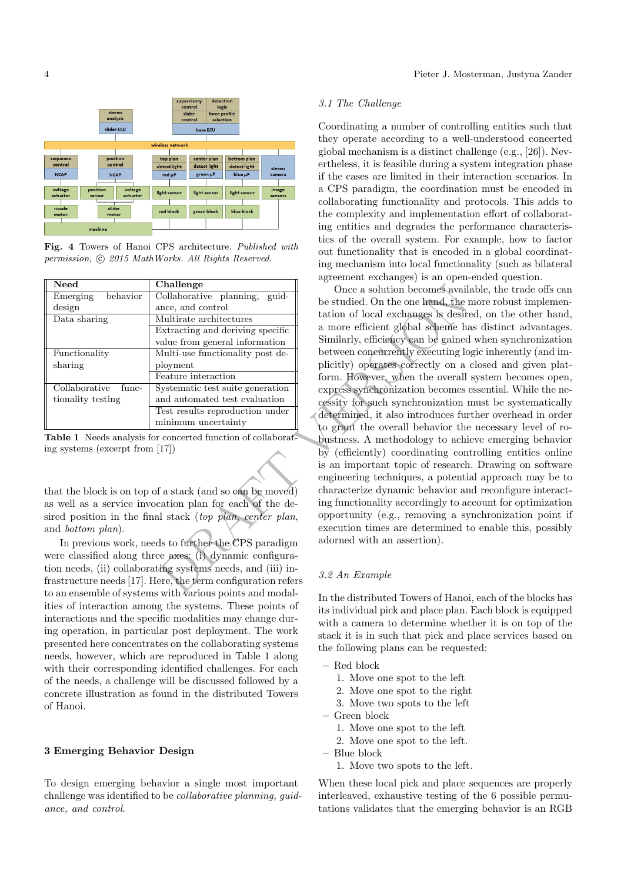

Fig. 4 Towers of Hanoi CPS architecture. Published with permission,  $\odot$  2015 MathWorks. All Rights Reserved.

| Need                   | Challenge                        |  |  |
|------------------------|----------------------------------|--|--|
| behavior<br>Emerging   | Collaborative planning,<br>guid- |  |  |
| design                 | ance, and control                |  |  |
| Data sharing           | Multirate architectures          |  |  |
|                        | Extracting and deriving specific |  |  |
|                        | value from general information   |  |  |
| Functionality          | Multi-use functionality post de- |  |  |
| sharing                | ployment                         |  |  |
|                        | Feature interaction              |  |  |
| Collaborative<br>func- | Systematic test suite generation |  |  |
| tionality testing      | and automated test evaluation    |  |  |
|                        | Test results reproduction under  |  |  |
|                        | minimum uncertainty              |  |  |



that the block is on top of a stack (and so can be moved) as well as a service invocation plan for each of the desired position in the final stack (top plan, center plan, and bottom plan).

In previous work, needs to further the CPS paradigm were classified along three axes: (i) dynamic configuration needs, (ii) collaborating systems needs, and (iii) infrastructure needs [17]. Here, the term configuration refers to an ensemble of systems with various points and modalities of interaction among the systems. These points of interactions and the specific modalities may change during operation, in particular post deployment. The work presented here concentrates on the collaborating systems needs, however, which are reproduced in Table 1 along with their corresponding identified challenges. For each of the needs, a challenge will be discussed followed by a concrete illustration as found in the distributed Towers of Hanoi.

#### 3 Emerging Behavior Design

To design emerging behavior a single most important challenge was identified to be collaborative planning, guidance, and control.

#### 3.1 The Challenge

Coordinating a number of controlling entities such that they operate according to a well-understood concerted global mechanism is a distinct challenge (e.g., [26]). Nevertheless, it is feasible during a system integration phase if the cases are limited in their interaction scenarios. In a CPS paradigm, the coordination must be encoded in collaborating functionality and protocols. This adds to the complexity and implementation effort of collaborating entities and degrades the performance characteristics of the overall system. For example, how to factor out functionality that is encoded in a global coordinating mechanism into local functionality (such as bilateral agreement exchanges) is an open-ended question.

Challenge (Challenge and the control of collaborative planning, guidentical control and the transformation of local exchanges is desired and deriving specific an ore efficient global scheme hand the scheme of local exchan Once a solution becomes available, the trade offs can be studied. On the one hand, the more robust implementation of local exchanges is desired, on the other hand, a more efficient global scheme has distinct advantages. Similarly, efficiency can be gained when synchronization between concurrently executing logic inherently (and implicitly) operates correctly on a closed and given platform. However, when the overall system becomes open, express synchronization becomes essential. While the necessity for such synchronization must be systematically determined, it also introduces further overhead in order to grant the overall behavior the necessary level of robustness. A methodology to achieve emerging behavior by (efficiently) coordinating controlling entities online is an important topic of research. Drawing on software engineering techniques, a potential approach may be to characterize dynamic behavior and reconfigure interacting functionality accordingly to account for optimization opportunity (e.g., removing a synchronization point if execution times are determined to enable this, possibly adorned with an assertion).

#### 3.2 An Example

In the distributed Towers of Hanoi, each of the blocks has its individual pick and place plan. Each block is equipped with a camera to determine whether it is on top of the stack it is in such that pick and place services based on the following plans can be requested:

- Red block
	- 1. Move one spot to the left
	- 2. Move one spot to the right
	- 3. Move two spots to the left
- Green block
	- 1. Move one spot to the left
	- 2. Move one spot to the left.
- Blue block
	- 1. Move two spots to the left.

When these local pick and place sequences are properly interleaved, exhaustive testing of the 6 possible permutations validates that the emerging behavior is an RGB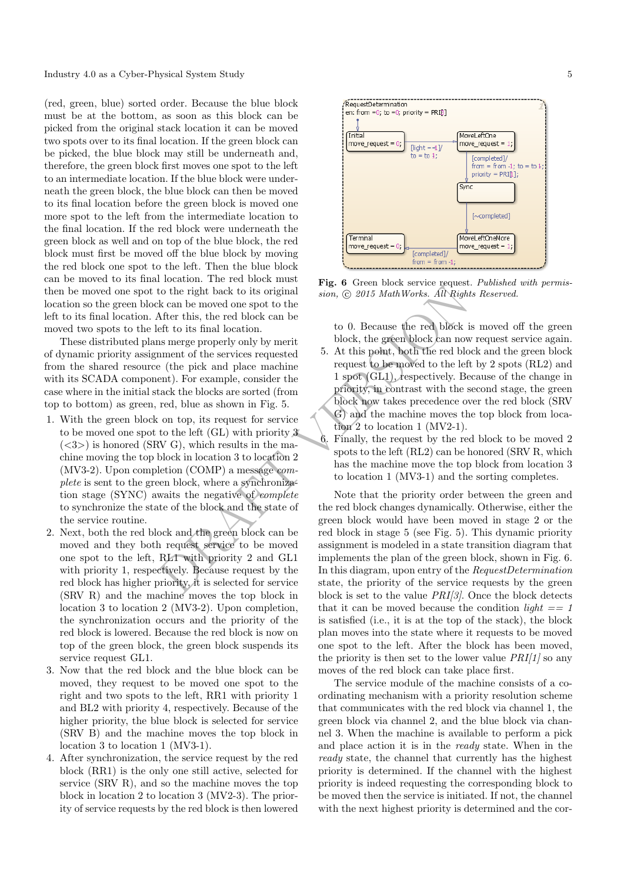(red, green, blue) sorted order. Because the blue block must be at the bottom, as soon as this block can be picked from the original stack location it can be moved two spots over to its final location. If the green block can be picked, the blue block may still be underneath and, therefore, the green block first moves one spot to the left to an intermediate location. If the blue block were underneath the green block, the blue block can then be moved to its final location before the green block is moved one more spot to the left from the intermediate location to the final location. If the red block were underneath the green block as well and on top of the blue block, the red block must first be moved off the blue block by moving the red block one spot to the left. Then the blue block can be moved to its final location. The red block must then be moved one spot to the right back to its original location so the green block can be moved one spot to the left to its final location. After this, the red block can be moved two spots to the left to its final location.

These distributed plans merge properly only by merit of dynamic priority assignment of the services requested from the shared resource (the pick and place machine with its SCADA component). For example, consider the case where in the initial stack the blocks are sorted (from top to bottom) as green, red, blue as shown in Fig. 5.

- 1. With the green block on top, its request for service to be moved one spot to the left (GL) with priority 3  $(*3*)$  is honored (SRV G), which results in the machine moving the top block in location 3 to location 2 (MV3-2). Upon completion (COMP) a message complete is sent to the green block, where a synchronization stage (SYNC) awaits the negative of complete to synchronize the state of the block and the state of the service routine.
- 2. Next, both the red block and the green block can be moved and they both request service to be moved one spot to the left, RL1 with priority 2 and GL1 with priority 1, respectively. Because request by the red block has higher priority, it is selected for service (SRV R) and the machine moves the top block in location 3 to location 2 (MV3-2). Upon completion, the synchronization occurs and the priority of the red block is lowered. Because the red block is now on top of the green block, the green block suspends its service request GL1.
- 3. Now that the red block and the blue block can be moved, they request to be moved one spot to the right and two spots to the left, RR1 with priority 1 and BL2 with priority 4, respectively. Because of the higher priority, the blue block is selected for service (SRV B) and the machine moves the top block in location 3 to location 1 (MV3-1).
- 4. After synchronization, the service request by the red block (RR1) is the only one still active, selected for service (SRV R), and so the machine moves the top block in location 2 to location 3 (MV2-3). The priority of service requests by the red block is then lowered



Fig. 6 Green block service request. Published with permission,  $\odot$  2015 MathWorks. All Rights Reserved.

the right back to its original<br>
sign,  $\Theta$  2015 MathWorks All Right<br>
At can be moved one spot to the<br>
After this, the red block can be<br>
different this, the red block can be<br>
eft to its final location.<br>
to 0. Because the r to 0. Because the red block is moved off the green block, the green block can now request service again. 5. At this point, both the red block and the green block request to be moved to the left by 2 spots (RL2) and 1 spot (GL1), respectively. Because of the change in priority, in contrast with the second stage, the green block now takes precedence over the red block (SRV G) and the machine moves the top block from location 2 to location 1 (MV2-1).

6. Finally, the request by the red block to be moved 2 spots to the left (RL2) can be honored (SRV R, which has the machine move the top block from location 3 to location 1 (MV3-1) and the sorting completes.

Note that the priority order between the green and the red block changes dynamically. Otherwise, either the green block would have been moved in stage 2 or the red block in stage 5 (see Fig. 5). This dynamic priority assignment is modeled in a state transition diagram that implements the plan of the green block, shown in Fig. 6. In this diagram, upon entry of the RequestDetermination state, the priority of the service requests by the green block is set to the value  $PRI[3]$ . Once the block detects that it can be moved because the condition  $light == 1$ is satisfied (i.e., it is at the top of the stack), the block plan moves into the state where it requests to be moved one spot to the left. After the block has been moved, the priority is then set to the lower value  $PRI[1]$  so any moves of the red block can take place first.

The service module of the machine consists of a coordinating mechanism with a priority resolution scheme that communicates with the red block via channel 1, the green block via channel 2, and the blue block via channel 3. When the machine is available to perform a pick and place action it is in the ready state. When in the ready state, the channel that currently has the highest priority is determined. If the channel with the highest priority is indeed requesting the corresponding block to be moved then the service is initiated. If not, the channel with the next highest priority is determined and the cor-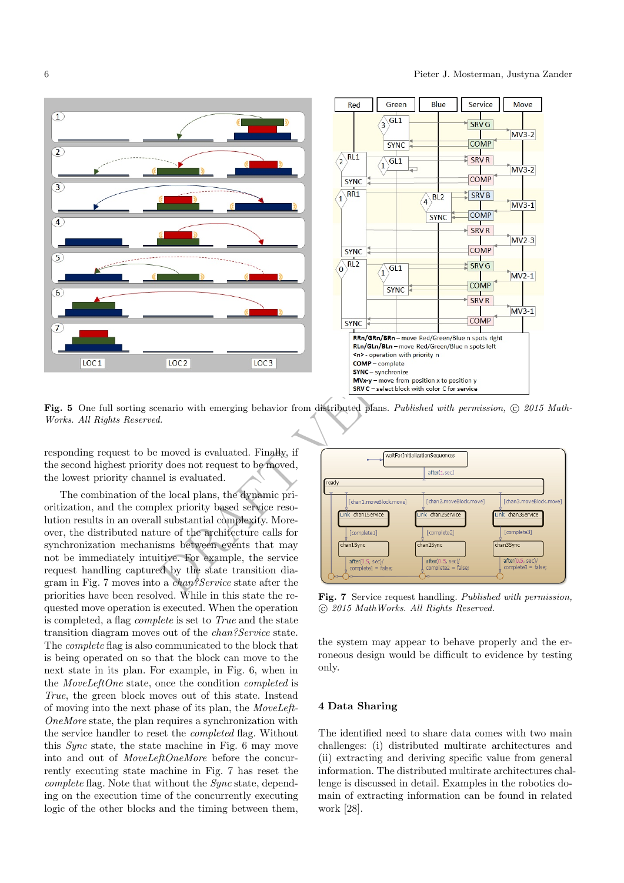

Fig. 5 One full sorting scenario with emerging behavior from distributed plans. Published with permission,  $\odot$  2015 Math-Works. All Rights Reserved.

responding request to be moved is evaluated. Finally, if the second highest priority does not request to be moved, the lowest priority channel is evaluated.

The combination of the local plans, the dynamic prioritization, and the complex priority based service resolution results in an overall substantial complexity. Moreover, the distributed nature of the architecture calls for synchronization mechanisms between events that may not be immediately intuitive. For example, the service request handling captured by the state transition diagram in Fig. 7 moves into a chan?Service state after the priorities have been resolved. While in this state the requested move operation is executed. When the operation is completed, a flag complete is set to True and the state transition diagram moves out of the chan?Service state. The complete flag is also communicated to the block that is being operated on so that the block can move to the next state in its plan. For example, in Fig. 6, when in the MoveLeftOne state, once the condition completed is True, the green block moves out of this state. Instead of moving into the next phase of its plan, the MoveLeft-OneMore state, the plan requires a synchronization with the service handler to reset the completed flag. Without this Sync state, the state machine in Fig. 6 may move into and out of MoveLeftOneMore before the concurrently executing state machine in Fig. 7 has reset the complete flag. Note that without the Sync state, depending on the execution time of the concurrently executing logic of the other blocks and the timing between them,



Fig. 7 Service request handling. Published with permission, c 2015 MathWorks. All Rights Reserved.

the system may appear to behave properly and the erroneous design would be difficult to evidence by testing only.

## 4 Data Sharing

The identified need to share data comes with two main challenges: (i) distributed multirate architectures and (ii) extracting and deriving specific value from general information. The distributed multirate architectures challenge is discussed in detail. Examples in the robotics domain of extracting information can be found in related work [28].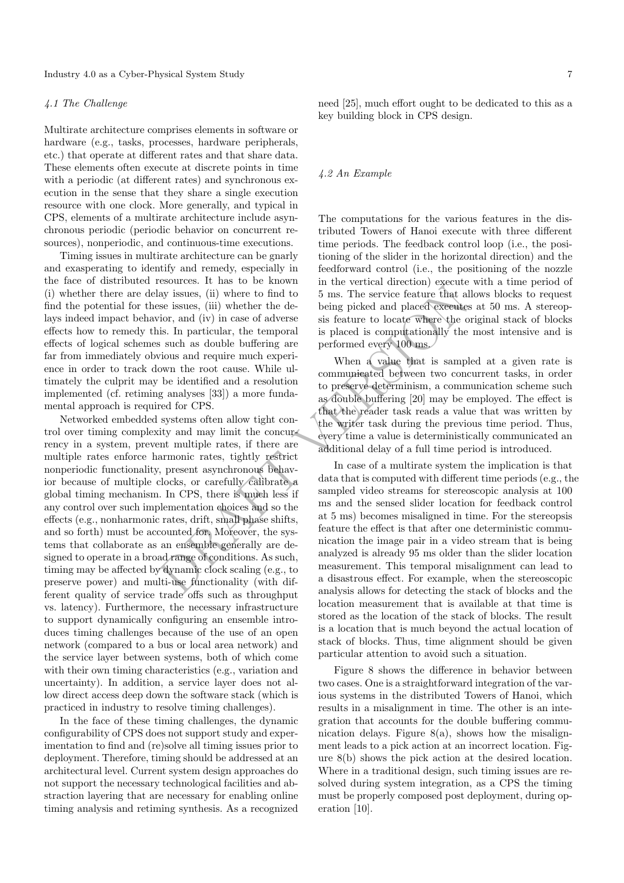## 4.1 The Challenge

Multirate architecture comprises elements in software or hardware (e.g., tasks, processes, hardware peripherals, etc.) that operate at different rates and that share data. These elements often execute at discrete points in time with a periodic (at different rates) and synchronous execution in the sense that they share a single execution resource with one clock. More generally, and typical in CPS, elements of a multirate architecture include asynchronous periodic (periodic behavior on concurrent resources), nonperiodic, and continuous-time executions.

Timing issues in multirate architecture can be gnarly and exasperating to identify and remedy, especially in the face of distributed resources. It has to be known (i) whether there are delay issues, (ii) where to find to find the potential for these issues, (iii) whether the delays indeed impact behavior, and (iv) in case of adverse effects how to remedy this. In particular, the temporal effects of logical schemes such as double buffering are far from immediately obvious and require much experience in order to track down the root cause. While ultimately the culprit may be identified and a resolution implemented (cf. retiming analyses [33]) a more fundamental approach is required for CPS.

and issues, (ii) where to find to  $5$  ms. The service feature that all see issues, (ii) where to find to  $5$  ms. The service feature that all see issues, (ii) whether the debtrain is placed is computationally the sis. In Networked embedded systems often allow tight control over timing complexity and may limit the concurrency in a system, prevent multiple rates, if there are multiple rates enforce harmonic rates, tightly restrict nonperiodic functionality, present asynchronous behavior because of multiple clocks, or carefully calibrate a global timing mechanism. In CPS, there is much less if any control over such implementation choices and so the effects (e.g., nonharmonic rates, drift, small phase shifts, and so forth) must be accounted for. Moreover, the systems that collaborate as an ensemble generally are designed to operate in a broad range of conditions. As such, timing may be affected by dynamic clock scaling (e.g., to preserve power) and multi-use functionality (with different quality of service trade offs such as throughput vs. latency). Furthermore, the necessary infrastructure to support dynamically configuring an ensemble introduces timing challenges because of the use of an open network (compared to a bus or local area network) and the service layer between systems, both of which come with their own timing characteristics (e.g., variation and uncertainty). In addition, a service layer does not allow direct access deep down the software stack (which is practiced in industry to resolve timing challenges).

In the face of these timing challenges, the dynamic configurability of CPS does not support study and experimentation to find and (re)solve all timing issues prior to deployment. Therefore, timing should be addressed at an architectural level. Current system design approaches do not support the necessary technological facilities and abstraction layering that are necessary for enabling online timing analysis and retiming synthesis. As a recognized

need [25], much effort ought to be dedicated to this as a key building block in CPS design.

## 4.2 An Example

The computations for the various features in the distributed Towers of Hanoi execute with three different time periods. The feedback control loop (i.e., the positioning of the slider in the horizontal direction) and the feedforward control (i.e., the positioning of the nozzle in the vertical direction) execute with a time period of 5 ms. The service feature that allows blocks to request being picked and placed executes at 50 ms. A stereopsis feature to locate where the original stack of blocks is placed is computationally the most intensive and is performed every 100 ms.

When a value that is sampled at a given rate is communicated between two concurrent tasks, in order to preserve determinism, a communication scheme such as double buffering [20] may be employed. The effect is that the reader task reads a value that was written by the writer task during the previous time period. Thus, every time a value is deterministically communicated an additional delay of a full time period is introduced.

In case of a multirate system the implication is that data that is computed with different time periods (e.g., the sampled video streams for stereoscopic analysis at 100 ms and the sensed slider location for feedback control at 5 ms) becomes misaligned in time. For the stereopsis feature the effect is that after one deterministic communication the image pair in a video stream that is being analyzed is already 95 ms older than the slider location measurement. This temporal misalignment can lead to a disastrous effect. For example, when the stereoscopic analysis allows for detecting the stack of blocks and the location measurement that is available at that time is stored as the location of the stack of blocks. The result is a location that is much beyond the actual location of stack of blocks. Thus, time alignment should be given particular attention to avoid such a situation.

Figure 8 shows the difference in behavior between two cases. One is a straightforward integration of the various systems in the distributed Towers of Hanoi, which results in a misalignment in time. The other is an integration that accounts for the double buffering communication delays. Figure  $8(a)$ , shows how the misalignment leads to a pick action at an incorrect location. Figure 8(b) shows the pick action at the desired location. Where in a traditional design, such timing issues are resolved during system integration, as a CPS the timing must be properly composed post deployment, during operation [10].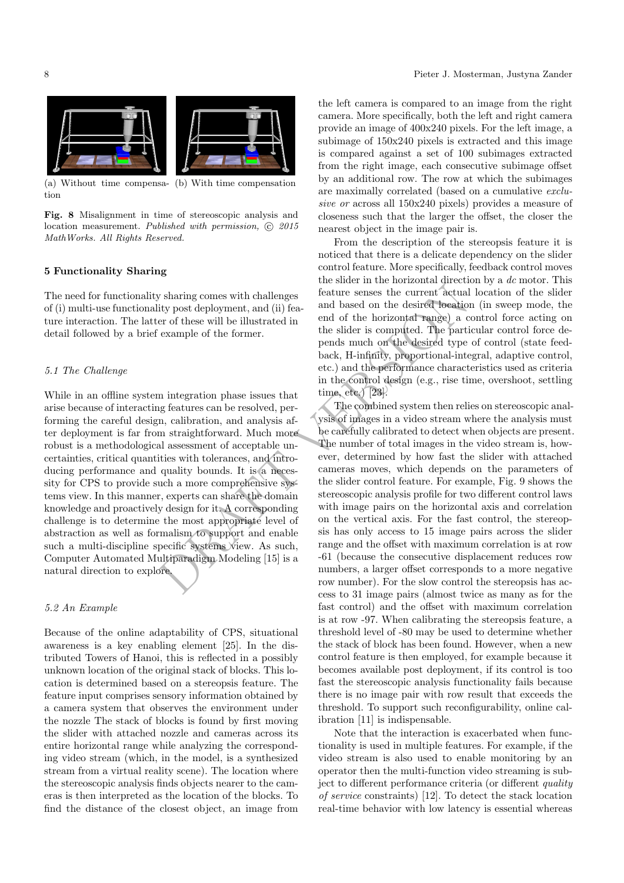

(a) Without time compensa-(b) With time compensation tion

Fig. 8 Misalignment in time of stereoscopic analysis and location measurement. Published with permission,  $\odot$  2015 MathWorks. All Rights Reserved.

#### 5 Functionality Sharing

The need for functionality sharing comes with challenges of (i) multi-use functionality post deployment, and (ii) feature interaction. The latter of these will be illustrated in detail followed by a brief example of the former.

#### 5.1 The Challenge

While in an offline system integration phase issues that arise because of interacting features can be resolved, performing the careful design, calibration, and analysis after deployment is far from straightforward. Much more robust is a methodological assessment of acceptable uncertainties, critical quantities with tolerances, and introducing performance and quality bounds. It is a necessity for CPS to provide such a more comprehensive systems view. In this manner, experts can share the domain knowledge and proactively design for it. A corresponding challenge is to determine the most appropriate level of abstraction as well as formalism to support and enable such a multi-discipline specific systems view. As such, Computer Automated Multiparadigm Modeling [15] is a natural direction to explore.

## 5.2 An Example

Because of the online adaptability of CPS, situational awareness is a key enabling element [25]. In the distributed Towers of Hanoi, this is reflected in a possibly unknown location of the original stack of blocks. This location is determined based on a stereopsis feature. The feature input comprises sensory information obtained by a camera system that observes the environment under the nozzle The stack of blocks is found by first moving the slider with attached nozzle and cameras across its entire horizontal range while analyzing the corresponding video stream (which, in the model, is a synthesized stream from a virtual reality scene). The location where the stereoscopic analysis finds objects nearer to the cameras is then interpreted as the location of the blocks. To find the distance of the closest object, an image from the left camera is compared to an image from the right camera. More specifically, both the left and right camera provide an image of 400x240 pixels. For the left image, a subimage of 150x240 pixels is extracted and this image is compared against a set of 100 subimages extracted from the right image, each consecutive subimage offset by an additional row. The row at which the subimages are maximally correlated (based on a cumulative exclusive or across all 150x240 pixels) provides a measure of closeness such that the larger the offset, the closer the nearest object in the image pair is.

From the description of the stereopsis feature it is noticed that there is a delicate dependency on the slider control feature. More specifically, feedback control moves the slider in the horizontal direction by a dc motor. This feature senses the current actual location of the slider and based on the desired location (in sweep mode, the end of the horizontal range) a control force acting on the slider is computed. The particular control force depends much on the desired type of control (state feedback, H-infinity, proportional-integral, adaptive control, etc.) and the performance characteristics used as criteria in the control design (e.g., rise time, overshoot, settling time, etc.) [23].

% sharing comes with challenges feature senses the current actual dity post deployment, and (ii) fea $^{\prime}$  and based on the desired loeship er of these will be illustrated in the solid of the horizontal range) a cample of The combined system then relies on stereoscopic analysis of images in a video stream where the analysis must be carefully calibrated to detect when objects are present. The number of total images in the video stream is, however, determined by how fast the slider with attached cameras moves, which depends on the parameters of the slider control feature. For example, Fig. 9 shows the stereoscopic analysis profile for two different control laws with image pairs on the horizontal axis and correlation on the vertical axis. For the fast control, the stereopsis has only access to 15 image pairs across the slider range and the offset with maximum correlation is at row -61 (because the consecutive displacement reduces row numbers, a larger offset corresponds to a more negative row number). For the slow control the stereopsis has access to 31 image pairs (almost twice as many as for the fast control) and the offset with maximum correlation is at row -97. When calibrating the stereopsis feature, a threshold level of -80 may be used to determine whether the stack of block has been found. However, when a new control feature is then employed, for example because it becomes available post deployment, if its control is too fast the stereoscopic analysis functionality fails because there is no image pair with row result that exceeds the threshold. To support such reconfigurability, online calibration [11] is indispensable.

> Note that the interaction is exacerbated when functionality is used in multiple features. For example, if the video stream is also used to enable monitoring by an operator then the multi-function video streaming is subject to different performance criteria (or different quality of service constraints) [12]. To detect the stack location real-time behavior with low latency is essential whereas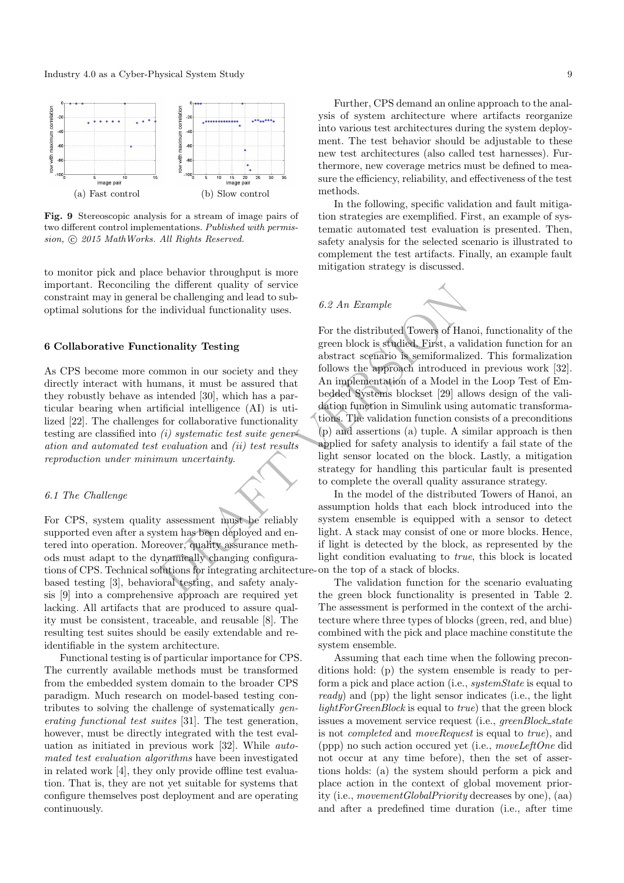

Fig. 9 Stereoscopic analysis for a stream of image pairs of two different control implementations. Published with permission,  $©$  2015 MathWorks. All Rights Reserved.

to monitor pick and place behavior throughput is more important. Reconciling the different quality of service constraint may in general be challenging and lead to suboptimal solutions for the individual functionality uses.

#### 6 Collaborative Functionality Testing

As CPS become more common in our society and they directly interact with humans, it must be assured that they robustly behave as intended [30], which has a particular bearing when artificial intelligence (AI) is utilized [22]. The challenges for collaborative functionality testing are classified into (i) systematic test suite generation and automated test evaluation and (ii) test results reproduction under minimum uncertainty .

### 6.1 The Challenge

For CPS, system quality assessment must be reliably supported even after a system has been deployed and entered into operation. Moreover, quality assurance methods must adapt to the dynamically changing configurations of CPS. Technical solutions for integrating architecture-on the top of a stack of blocks. based testing [3], behavioral testing, and safety analysis [9] into a comprehensive approach are required yet lacking. All artifacts that are produced to assure quality must be consistent, traceable, and reusable [8]. The resulting test suites should be easily extendable and reidentifiable in the system architecture.

Functional testing is of particular importance for CPS. The currently available methods must be transformed from the embedded system domain to the broader CPS paradigm. Much research on model-based testing contributes to solving the challenge of systematically generating functional test suites [31]. The test generation, however, must be directly integrated with the test evaluation as initiated in previous work [32]. While automated test evaluation algorithms have been investigated in related work [4], they only provide offline test evaluation. That is, they are not yet suitable for systems that configure themselves post deployment and are operating continuously.

Further, CPS demand an online approach to the analysis of system architecture where artifacts reorganize into various test architectures during the system deployment. The test behavior should be adjustable to these new test architectures (also called test harnesses). Furthermore, new coverage metrics must be defined to measure the efficiency, reliability, and effectiveness of the test methods.

In the following, specific validation and fault mitigation strategies are exemplified. First, an example of systematic automated test evaluation is presented. Then, safety analysis for the selected scenario is illustrated to complement the test artifacts. Finally, an example fault mitigation strategy is discussed.

6.2 An Example



The different quality of service<br>
individual functionality uses.<br>
For the distributed Towers of Har<br>
individual functionality uses.<br>
For the distributed Towers of Har<br>
intended propagation of a Model intended to sub-<br>
mmo For the distributed Towers of Hanoi, functionality of the green block is studied. First, a validation function for an abstract scenario is semiformalized. This formalization follows the approach introduced in previous work [32]. An implementation of a Model in the Loop Test of Embedded Systems blockset [29] allows design of the validation function in Simulink using automatic transformations. The validation function consists of a preconditions (p) and assertions (a) tuple. A similar approach is then applied for safety analysis to identify a fail state of the light sensor located on the block. Lastly, a mitigation strategy for handling this particular fault is presented to complete the overall quality assurance strategy.

In the model of the distributed Towers of Hanoi, an assumption holds that each block introduced into the system ensemble is equipped with a sensor to detect light. A stack may consist of one or more blocks. Hence, if light is detected by the block, as represented by the light condition evaluating to true, this block is located

The validation function for the scenario evaluating the green block functionality is presented in Table 2. The assessment is performed in the context of the architecture where three types of blocks (green, red, and blue) combined with the pick and place machine constitute the system ensemble.

Assuming that each time when the following preconditions hold: (p) the system ensemble is ready to perform a pick and place action (i.e., *systemState* is equal to ready) and (pp) the light sensor indicates (i.e., the light lightForGreenBlock is equal to true) that the green block issues a movement service request (i.e., greenBlock state is not completed and moveRequest is equal to true), and (ppp) no such action occured yet (i.e., moveLeftOne did not occur at any time before), then the set of assertions holds: (a) the system should perform a pick and place action in the context of global movement priority (i.e., movementGlobalPriority decreases by one), (aa) and after a predefined time duration (i.e., after time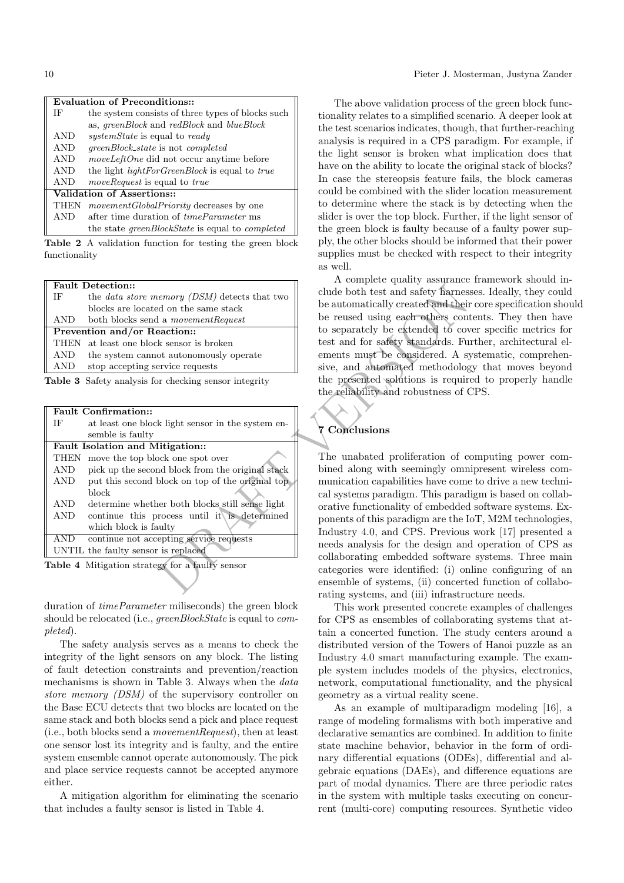| × | i  |
|---|----|
|   | ۰, |

| <b>Evaluation of Preconditions::</b> |                                                                |  |
|--------------------------------------|----------------------------------------------------------------|--|
| ΙF                                   | the system consists of three types of blocks such              |  |
|                                      | as, <i>greenBlock</i> and <i>redBlock</i> and <i>blueBlock</i> |  |
| <b>AND</b>                           | systemState is equal to ready                                  |  |
| <b>AND</b>                           | greenBlock_state is not completed                              |  |
| <b>AND</b>                           | <i>moveLeftOne</i> did not occur anytime before                |  |
| <b>AND</b>                           | the light <i>lightForGreenBlock</i> is equal to <i>true</i>    |  |
| <b>AND</b>                           | <i>moveRequest</i> is equal to <i>true</i>                     |  |
| Validation of Assertions::           |                                                                |  |
| <b>THEN</b>                          | <i>movementGlobalPriority</i> decreases by one                 |  |
| <b>AND</b>                           | after time duration of <i>timeParameter</i> ms                 |  |
|                                      | the state <i>greenBlockState</i> is equal to <i>completed</i>  |  |

Table 2 A validation function for testing the green block functionality

|                              | <b>Fault Detection::</b>                            |
|------------------------------|-----------------------------------------------------|
| ΙF                           | the <i>data store memory (DSM)</i> detects that two |
|                              | blocks are located on the same stack                |
|                              | AND both blocks send a <i>movementRequest</i>       |
| Prevention and/or Reaction:: |                                                     |
|                              | THEN at least one block sensor is broken            |
| AND.                         | the system cannot autonomously operate              |
| <b>AND</b>                   | stop accepting service requests                     |

Table 3 Safety analysis for checking sensor integrity

|             | <b>Fault Confirmation::</b>                       |
|-------------|---------------------------------------------------|
| ΙF          | at least one block light sensor in the system en- |
|             | semble is faulty                                  |
|             | <b>Fault Isolation and Mitigation::</b>           |
| <b>THEN</b> | move the top block one spot over                  |
| <b>AND</b>  | pick up the second block from the original stack  |
| <b>AND</b>  | put this second block on top of the original top  |
|             | block                                             |
| <b>AND</b>  | determine whether both blocks still sense light   |
| <b>AND</b>  | continue this process until it is determined      |
|             | which block is faulty                             |
| <b>AND</b>  | continue not accepting service requests           |
|             | UNTIL the faulty sensor is replaced               |

Table 4 Mitigation strategy for a faulty sensor

duration of timeParameter miliseconds) the green block should be relocated (i.e., *greenBlockState* is equal to *com*pleted).

The safety analysis serves as a means to check the integrity of the light sensors on any block. The listing of fault detection constraints and prevention/reaction mechanisms is shown in Table 3. Always when the data store memory (DSM) of the supervisory controller on the Base ECU detects that two blocks are located on the same stack and both blocks send a pick and place request (i.e., both blocks send a movementRequest), then at least one sensor lost its integrity and is faulty, and the entire system ensemble cannot operate autonomously. The pick and place service requests cannot be accepted anymore either.

A mitigation algorithm for eliminating the scenario that includes a faulty sensor is listed in Table 4.

The above validation process of the green block functionality relates to a simplified scenario. A deeper look at the test scenarios indicates, though, that further-reaching analysis is required in a CPS paradigm. For example, if the light sensor is broken what implication does that have on the ability to locate the original stack of blocks? In case the stereopsis feature fails, the block cameras could be combined with the slider location measurement to determine where the stack is by detecting when the slider is over the top block. Further, if the light sensor of the green block is faulty because of a faulty power supply, the other blocks should be informed that their power supplies must be checked with respect to their integrity as well.

A complete quality assurance framework should include both test and safety harnesses. Ideally, they could be automatically created and their core specification should be reused using each others contents. They then have to separately be extended to cover specific metrics for test and for safety standards. Further, architectural elements must be considered. A systematic, comprehensive, and automated methodology that moves beyond the presented solutions is required to properly handle the reliability and robustness of CPS.

# 7 Conclusions

DRAFT VERSION The unabated proliferation of computing power combined along with seemingly omnipresent wireless communication capabilities have come to drive a new technical systems paradigm. This paradigm is based on collaborative functionality of embedded software systems. Exponents of this paradigm are the IoT, M2M technologies, Industry 4.0, and CPS. Previous work [17] presented a needs analysis for the design and operation of CPS as collaborating embedded software systems. Three main categories were identified: (i) online configuring of an ensemble of systems, (ii) concerted function of collaborating systems, and (iii) infrastructure needs.

> This work presented concrete examples of challenges for CPS as ensembles of collaborating systems that attain a concerted function. The study centers around a distributed version of the Towers of Hanoi puzzle as an Industry 4.0 smart manufacturing example. The example system includes models of the physics, electronics, network, computational functionality, and the physical geometry as a virtual reality scene.

> As an example of multiparadigm modeling [16], a range of modeling formalisms with both imperative and declarative semantics are combined. In addition to finite state machine behavior, behavior in the form of ordinary differential equations (ODEs), differential and algebraic equations (DAEs), and difference equations are part of modal dynamics. There are three periodic rates in the system with multiple tasks executing on concurrent (multi-core) computing resources. Synthetic video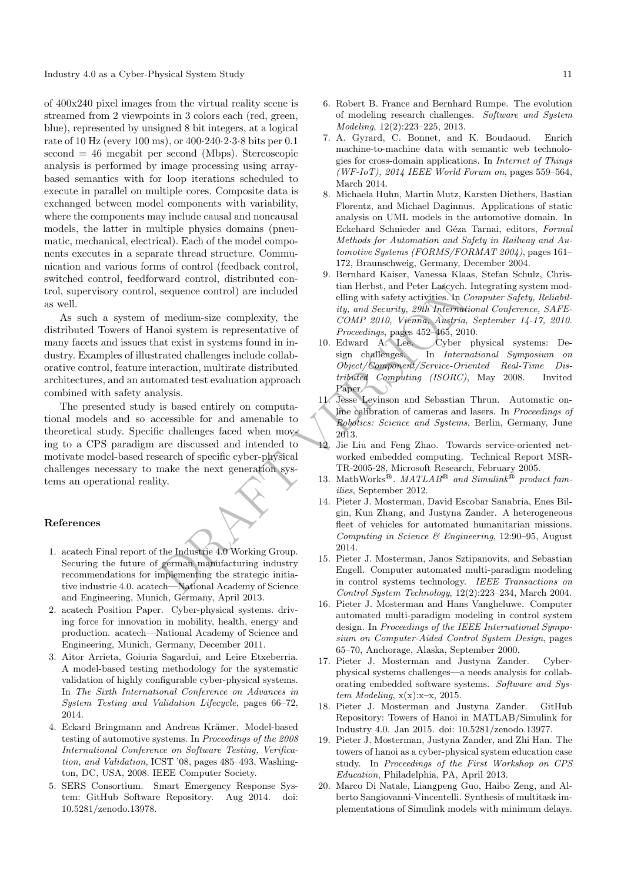of 400x240 pixel images from the virtual reality scene is streamed from 2 viewpoints in 3 colors each (red, green, blue), represented by unsigned 8 bit integers, at a logical rate of 10 Hz (every 100 ms), or  $400.240.2.3.8$  bits per 0.1  $second = 46$  megabit per second (Mbps). Stereoscopic analysis is performed by image processing using arraybased semantics with for loop iterations scheduled to execute in parallel on multiple cores. Composite data is exchanged between model components with variability, where the components may include causal and noncausal models, the latter in multiple physics domains (pneumatic, mechanical, electrical). Each of the model components executes in a separate thread structure. Communication and various forms of control (feedback control, switched control, feedforward control, distributed control, supervisory control, sequence control) are included as well.

As such a system of medium-size complexity, the distributed Towers of Hanoi system is representative of many facets and issues that exist in systems found in industry. Examples of illustrated challenges include collaborative control, feature interaction, multirate distributed architectures, and an automated test evaluation approach combined with safety analysis.

sequence control) are included<br>
im Herbst, and Peter Laseych:<br>
in the fact in the set of the security, 29th Meternation in System is representative of<br>
at exist in systems found in in-<br>
10. Bdward A. Lee. Cyber rated chal The presented study is based entirely on computational models and so accessible for and amenable to theoretical study. Specific challenges faced when moving to a CPS paradigm are discussed and intended to motivate model-based research of specific cyber-physical challenges necessary to make the next generation systems an operational reality.

#### References

- 1. acatech Final report of the Industrie 4.0 Working Group. Securing the future of german manufacturing industry recommendations for implementing the strategic initiative industrie 4.0. acatech—National Academy of Science and Engineering, Munich, Germany, April 2013.
- 2. acatech Position Paper. Cyber-physical systems. driving force for innovation in mobility, health, energy and production. acatech—National Academy of Science and Engineering, Munich, Germany, December 2011.
- 3. Aitor Arrieta, Goiuria Sagardui, and Leire Etxeberria. A model-based testing methodology for the systematic validation of highly configurable cyber-physical systems. In The Sixth International Conference on Advances in System Testing and Validation Lifecycle, pages 66–72, 2014.
- 4. Eckard Bringmann and Andreas Krämer. Model-based testing of automotive systems. In Proceedings of the 2008 International Conference on Software Testing, Verification, and Validation, ICST '08, pages 485–493, Washington, DC, USA, 2008. IEEE Computer Society.
- 5. SERS Consortium. Smart Emergency Response System: GitHub Software Repository. Aug 2014. doi: 10.5281/zenodo.13978.
- 6. Robert B. France and Bernhard Rumpe. The evolution of modeling research challenges. Software and System Modeling, 12(2):223–225, 2013.
- 7. A. Gyrard, C. Bonnet, and K. Boudaoud. Enrich machine-to-machine data with semantic web technologies for cross-domain applications. In Internet of Things (WF-IoT),  $2014$  IEEE World Forum on, pages 559-564, March 2014.
- 8. Michaela Huhn, Martin Mutz, Karsten Diethers, Bastian Florentz, and Michael Daginnus. Applications of static analysis on UML models in the automotive domain. In Eckehard Schnieder and Géza Tarnai, editors, Formal Methods for Automation and Safety in Railway and Automotive Systems (FORMS/FORMAT 2004), pages 161– 172, Braunschweig, Germany, December 2004.
- 9. Bernhard Kaiser, Vanessa Klaas, Stefan Schulz, Christian Herbst, and Peter Lascych. Integrating system modelling with safety activities. In Computer Safety, Reliability, and Security, 29th International Conference, SAFE-COMP 2010, Vienna, Austria, September 14-17, 2010. Proceedings, pages 452–465, 2010.
- 10. Edward A. Lee. Cyber physical systems: Design challenges. In International Symposium on Object/Component/Service-Oriented Real-Time Distributed Computing (ISORC), May 2008. Invited Paper.
- 11. Jesse Levinson and Sebastian Thrun. Automatic online calibration of cameras and lasers. In Proceedings of Robotics: Science and Systems, Berlin, Germany, June 2013.
- 12. Jie Liu and Feng Zhao. Towards service-oriented networked embedded computing. Technical Report MSR-TR-2005-28, Microsoft Research, February 2005.
- 13. MathWorks<sup>®</sup>. MATLAB<sup>®</sup> and Simulink<sup>®</sup> product families, September 2012.
- 14. Pieter J. Mosterman, David Escobar Sanabria, Enes Bilgin, Kun Zhang, and Justyna Zander. A heterogeneous fleet of vehicles for automated humanitarian missions. Computing in Science & Engineering, 12:90–95, August 2014.
- 15. Pieter J. Mosterman, Janos Sztipanovits, and Sebastian Engell. Computer automated multi-paradigm modeling in control systems technology. IEEE Transactions on Control System Technology, 12(2):223–234, March 2004.
- 16. Pieter J. Mosterman and Hans Vangheluwe. Computer automated multi-paradigm modeling in control system design. In Proceedings of the IEEE International Symposium on Computer-Aided Control System Design, pages 65–70, Anchorage, Alaska, September 2000.
- 17. Pieter J. Mosterman and Justyna Zander. Cyberphysical systems challenges—a needs analysis for collaborating embedded software systems. Software and System Modeling,  $x(x):x-x$ , 2015.
- 18. Pieter J. Mosterman and Justyna Zander. GitHub Repository: Towers of Hanoi in MATLAB/Simulink for Industry 4.0. Jan 2015. doi: 10.5281/zenodo.13977.
- 19. Pieter J. Mosterman, Justyna Zander, and Zhi Han. The towers of hanoi as a cyber-physical system education case study. In Proceedings of the First Workshop on CPS Education, Philadelphia, PA, April 2013.
- 20. Marco Di Natale, Liangpeng Guo, Haibo Zeng, and Alberto Sangiovanni-Vincentelli. Synthesis of multitask implementations of Simulink models with minimum delays.